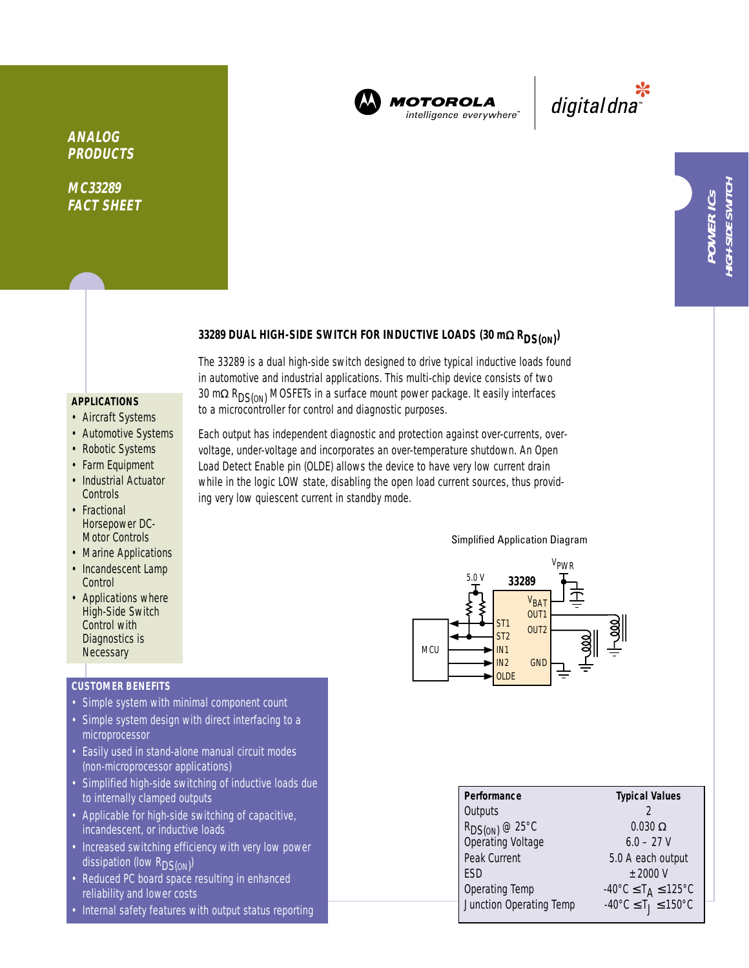

**MOTOROLA** intelligence everywhere

\*<br>"digital dna

# 33289 DUAL HIGH-SIDE SWITCH FOR INDUCTIVE LOADS (30 mΩ R<sub>DS(ON)</sub>)

The 33289 is a dual high-side switch designed to drive typical inductive loads found in automotive and industrial applications. This multi-chip device consists of two 30 mΩ R<sub>DS(ON</sub>) MOSFETs in a surface mount power package. It easily interfaces to a microcontroller for control and diagnostic purposes.

## **APPLICATIONS**

**ANALOG PRODUCTS**

**MC33289 FACT SHEET**

- Aircraft Systems
- Automotive Systems
- Robotic Systems
- Farm Equipment
- Industrial Actuator **Controls**
- Fractional Horsepower DC-Motor Controls
- Marine Applications
- Incandescent Lamp **Control**
- Applications where High-Side Switch Control with Diagnostics is **Necessary**

# **CUSTOMER BENEFITS**

- Simple system with minimal component count
- Simple system design with direct interfacing to a microprocessor
- Easily used in stand-alone manual circuit modes (non-microprocessor applications)
- Simplified high-side switching of inductive loads due to internally clamped outputs
- Applicable for high-side switching of capacitive, incandescent, or inductive loads
- Increased switching efficiency with very low power dissipation (low R<sub>DS(ON)</sub>)
- Reduced PC board space resulting in enhanced reliability and lower costs
- Internal safety features with output status reporting

Each output has independent diagnostic and protection against over-currents, overvoltage, under-voltage and incorporates an over-temperature shutdown. An Open Load Detect Enable pin (OLDE) allows the device to have very low current drain while in the logic LOW state, disabling the open load current sources, thus providing very low quiescent current in standby mode.

#### Simplified Application Diagram



| Performance                              | <b>Typical Values</b>                                         |  |  |
|------------------------------------------|---------------------------------------------------------------|--|--|
| Outputs                                  |                                                               |  |  |
| $R_{DS(ON)} @ 25°C$<br>Operating Voltage | $0.030 \Omega$                                                |  |  |
|                                          | $6.0 - 27$ V                                                  |  |  |
| Peak Current                             | 5.0 A each output                                             |  |  |
| ESD                                      | $+2000V$                                                      |  |  |
| Operating Temp                           | $-40^{\circ}$ C $\leq$ T <sub>A</sub> $\leq$ 125°C            |  |  |
| Junction Operating Temp                  | $-40^{\circ}$ C $\leq$ T <sub>J</sub> $\leq$ 150 $^{\circ}$ C |  |  |